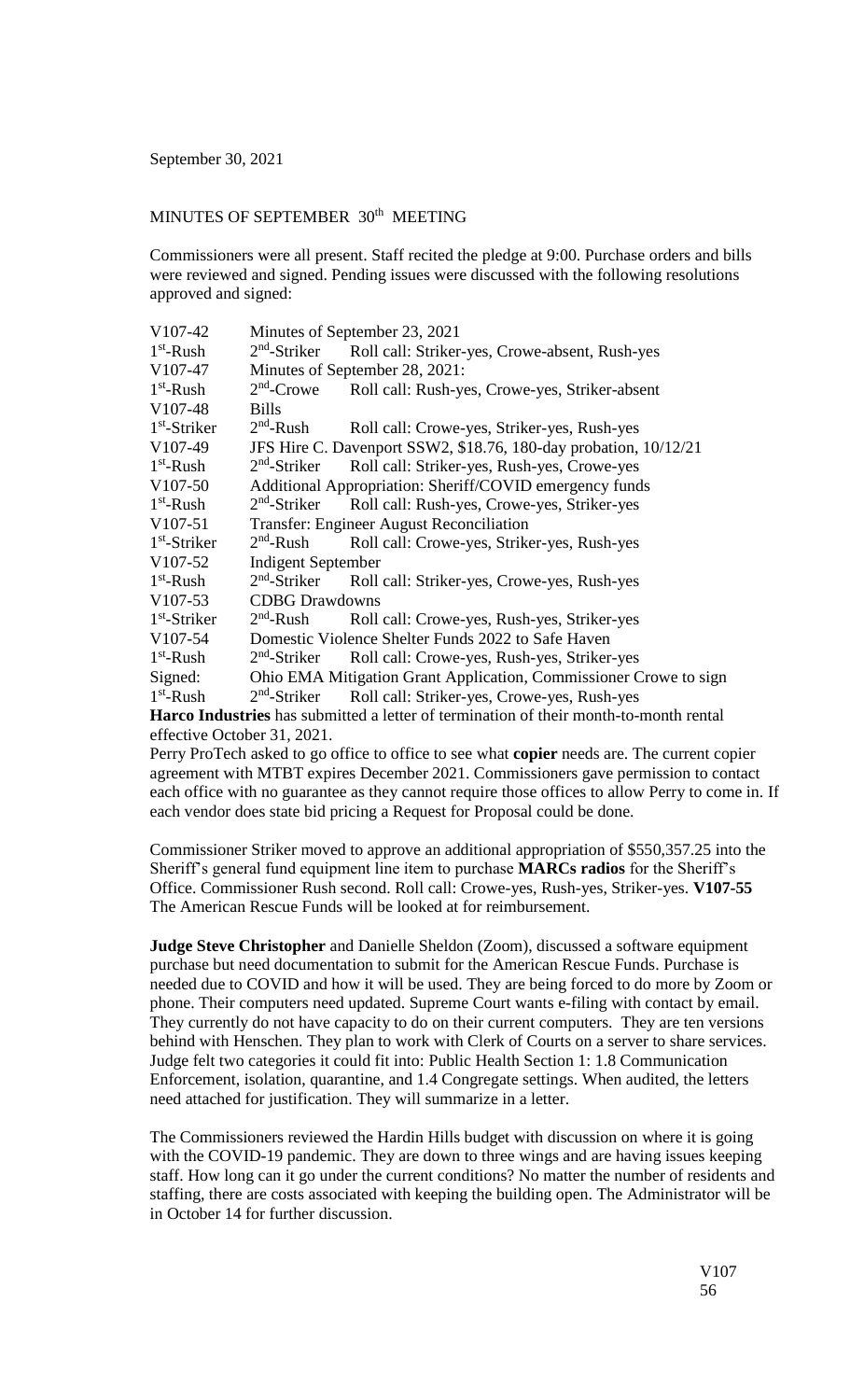## MINUTES OF SEPTEMBER 30<sup>th</sup> MEETING

Commissioners were all present. Staff recited the pledge at 9:00. Purchase orders and bills were reviewed and signed. Pending issues were discussed with the following resolutions approved and signed:

| V107-42                                                                                      | Minutes of September 23, 2021                                     |                                                |
|----------------------------------------------------------------------------------------------|-------------------------------------------------------------------|------------------------------------------------|
| $1st$ -Rush                                                                                  | $2nd$ -Striker                                                    | Roll call: Striker-yes, Crowe-absent, Rush-yes |
| V107-47                                                                                      | Minutes of September 28, 2021:                                    |                                                |
| $1st$ -Rush                                                                                  | $2nd$ -Crowe                                                      | Roll call: Rush-yes, Crowe-yes, Striker-absent |
| $V107-48$                                                                                    | <b>Bills</b>                                                      |                                                |
| $1st$ -Striker                                                                               | $2nd$ -Rush                                                       | Roll call: Crowe-yes, Striker-yes, Rush-yes    |
| V107-49                                                                                      | JFS Hire C. Davenport SSW2, \$18.76, 180-day probation, 10/12/21  |                                                |
| $1st$ -Rush                                                                                  | $2nd$ -Striker                                                    | Roll call: Striker-yes, Rush-yes, Crowe-yes    |
| $V107-50$                                                                                    | Additional Appropriation: Sheriff/COVID emergency funds           |                                                |
| $1st$ -Rush                                                                                  | $2nd$ -Striker                                                    | Roll call: Rush-yes, Crowe-yes, Striker-yes    |
| $V107-51$                                                                                    | Transfer: Engineer August Reconciliation                          |                                                |
| $1st$ -Striker                                                                               | $2nd$ -Rush                                                       | Roll call: Crowe-yes, Striker-yes, Rush-yes    |
| V107-52                                                                                      | <b>Indigent September</b>                                         |                                                |
| $1st$ -Rush                                                                                  | $2nd$ -Striker                                                    | Roll call: Striker-yes, Crowe-yes, Rush-yes    |
| $V107-53$                                                                                    | <b>CDBG</b> Drawdowns                                             |                                                |
| $1st$ -Striker                                                                               | $2nd$ -Rush                                                       | Roll call: Crowe-yes, Rush-yes, Striker-yes    |
| $V107-54$                                                                                    | Domestic Violence Shelter Funds 2022 to Safe Haven                |                                                |
| $1st$ -Rush                                                                                  | $2nd$ -Striker                                                    | Roll call: Crowe-yes, Rush-yes, Striker-yes    |
| Signed:                                                                                      | Ohio EMA Mitigation Grant Application, Commissioner Crowe to sign |                                                |
| $1st$ -Rush                                                                                  | $2nd$ -Striker                                                    | Roll call: Striker-yes, Crowe-yes, Rush-yes    |
| <b>Harco Industries</b> has submitted a letter of termination of their month-to-month rental |                                                                   |                                                |

**Harco Industries** has submitted a letter of termination of their month-to-month rental effective October 31, 2021.

Perry ProTech asked to go office to office to see what **copier** needs are. The current copier agreement with MTBT expires December 2021. Commissioners gave permission to contact each office with no guarantee as they cannot require those offices to allow Perry to come in. If each vendor does state bid pricing a Request for Proposal could be done.

Commissioner Striker moved to approve an additional appropriation of \$550,357.25 into the Sheriff's general fund equipment line item to purchase **MARCs radios** for the Sheriff's Office. Commissioner Rush second. Roll call: Crowe-yes, Rush-yes, Striker-yes. **V107-55** The American Rescue Funds will be looked at for reimbursement.

**Judge Steve Christopher** and Danielle Sheldon (Zoom), discussed a software equipment purchase but need documentation to submit for the American Rescue Funds. Purchase is needed due to COVID and how it will be used. They are being forced to do more by Zoom or phone. Their computers need updated. Supreme Court wants e-filing with contact by email. They currently do not have capacity to do on their current computers. They are ten versions behind with Henschen. They plan to work with Clerk of Courts on a server to share services. Judge felt two categories it could fit into: Public Health Section 1: 1.8 Communication Enforcement, isolation, quarantine, and 1.4 Congregate settings. When audited, the letters need attached for justification. They will summarize in a letter.

The Commissioners reviewed the Hardin Hills budget with discussion on where it is going with the COVID-19 pandemic. They are down to three wings and are having issues keeping staff. How long can it go under the current conditions? No matter the number of residents and staffing, there are costs associated with keeping the building open. The Administrator will be in October 14 for further discussion.